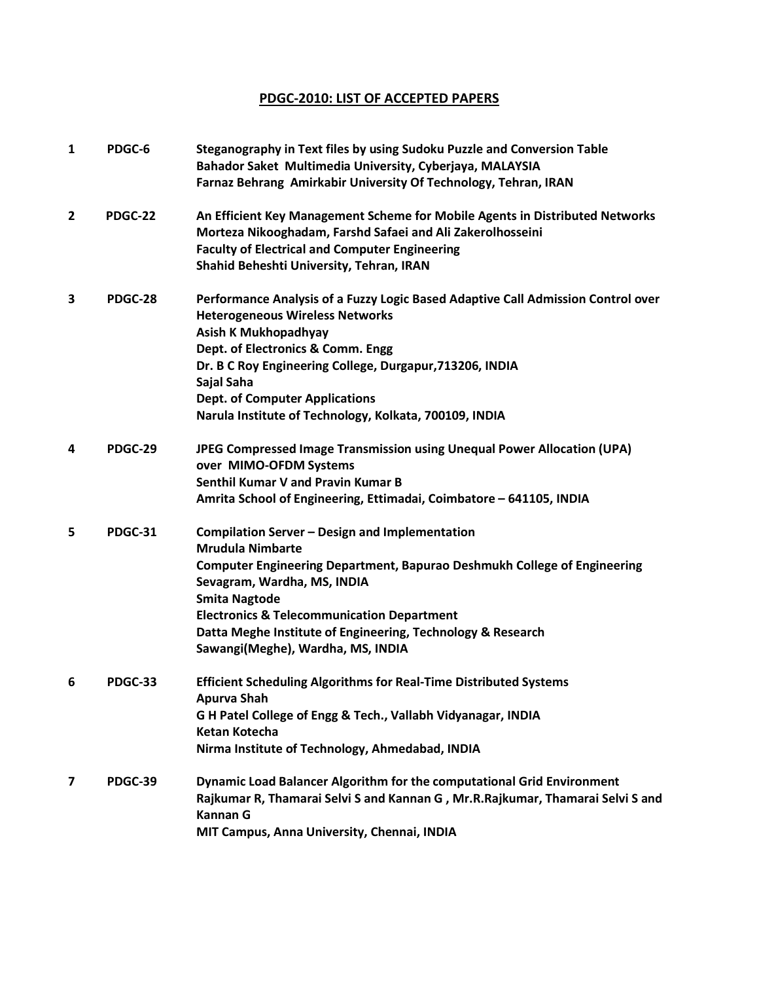## **PDGC-2010: LIST OF ACCEPTED PAPERS**

| $\mathbf{1}$   | PDGC-6  | Steganography in Text files by using Sudoku Puzzle and Conversion Table<br>Bahador Saket Multimedia University, Cyberjaya, MALAYSIA<br>Farnaz Behrang Amirkabir University Of Technology, Tehran, IRAN                                                                                                                                                                           |
|----------------|---------|----------------------------------------------------------------------------------------------------------------------------------------------------------------------------------------------------------------------------------------------------------------------------------------------------------------------------------------------------------------------------------|
| $\overline{2}$ | PDGC-22 | An Efficient Key Management Scheme for Mobile Agents in Distributed Networks<br>Morteza Nikooghadam, Farshd Safaei and Ali Zakerolhosseini<br><b>Faculty of Electrical and Computer Engineering</b><br>Shahid Beheshti University, Tehran, IRAN                                                                                                                                  |
| 3              | PDGC-28 | Performance Analysis of a Fuzzy Logic Based Adaptive Call Admission Control over<br><b>Heterogeneous Wireless Networks</b><br>Asish K Mukhopadhyay<br>Dept. of Electronics & Comm. Engg<br>Dr. B C Roy Engineering College, Durgapur, 713206, INDIA<br>Sajal Saha<br><b>Dept. of Computer Applications</b><br>Narula Institute of Technology, Kolkata, 700109, INDIA             |
| 4              | PDGC-29 | JPEG Compressed Image Transmission using Unequal Power Allocation (UPA)<br>over MIMO-OFDM Systems<br><b>Senthil Kumar V and Pravin Kumar B</b><br>Amrita School of Engineering, Ettimadai, Coimbatore - 641105, INDIA                                                                                                                                                            |
| 5              | PDGC-31 | Compilation Server - Design and Implementation<br><b>Mrudula Nimbarte</b><br><b>Computer Engineering Department, Bapurao Deshmukh College of Engineering</b><br>Sevagram, Wardha, MS, INDIA<br><b>Smita Nagtode</b><br><b>Electronics &amp; Telecommunication Department</b><br>Datta Meghe Institute of Engineering, Technology & Research<br>Sawangi(Meghe), Wardha, MS, INDIA |
| 6              | PDGC-33 | <b>Efficient Scheduling Algorithms for Real-Time Distributed Systems</b><br>Apurva Shah<br>G H Patel College of Engg & Tech., Vallabh Vidyanagar, INDIA<br><b>Ketan Kotecha</b><br>Nirma Institute of Technology, Ahmedabad, INDIA                                                                                                                                               |
| 7              | PDGC-39 | Dynamic Load Balancer Algorithm for the computational Grid Environment<br>Rajkumar R, Thamarai Selvi S and Kannan G, Mr.R.Rajkumar, Thamarai Selvi S and<br><b>Kannan G</b><br>MIT Campus, Anna University, Chennai, INDIA                                                                                                                                                       |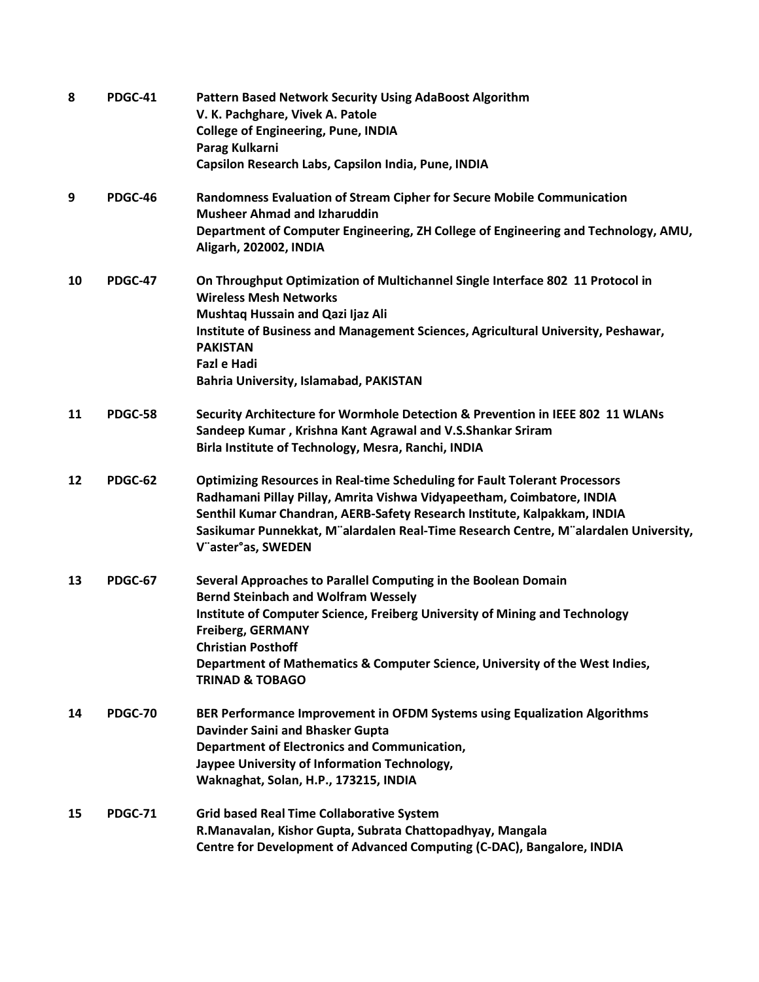| 8  | PDGC-41        | Pattern Based Network Security Using AdaBoost Algorithm<br>V. K. Pachghare, Vivek A. Patole<br><b>College of Engineering, Pune, INDIA</b><br>Parag Kulkarni<br>Capsilon Research Labs, Capsilon India, Pune, INDIA                                                                                                                                                 |
|----|----------------|--------------------------------------------------------------------------------------------------------------------------------------------------------------------------------------------------------------------------------------------------------------------------------------------------------------------------------------------------------------------|
| 9  | PDGC-46        | Randomness Evaluation of Stream Cipher for Secure Mobile Communication<br><b>Musheer Ahmad and Izharuddin</b><br>Department of Computer Engineering, ZH College of Engineering and Technology, AMU,<br>Aligarh, 202002, INDIA                                                                                                                                      |
| 10 | PDGC-47        | On Throughput Optimization of Multichannel Single Interface 802 11 Protocol in<br><b>Wireless Mesh Networks</b><br>Mushtaq Hussain and Qazi Ijaz Ali<br>Institute of Business and Management Sciences, Agricultural University, Peshawar,<br><b>PAKISTAN</b><br><b>Fazl e Hadi</b><br><b>Bahria University, Islamabad, PAKISTAN</b>                                |
| 11 | PDGC-58        | Security Architecture for Wormhole Detection & Prevention in IEEE 802 11 WLANs<br>Sandeep Kumar, Krishna Kant Agrawal and V.S.Shankar Sriram<br>Birla Institute of Technology, Mesra, Ranchi, INDIA                                                                                                                                                                |
| 12 | PDGC-62        | <b>Optimizing Resources in Real-time Scheduling for Fault Tolerant Processors</b><br>Radhamani Pillay Pillay, Amrita Vishwa Vidyapeetham, Coimbatore, INDIA<br>Senthil Kumar Chandran, AERB-Safety Research Institute, Kalpakkam, INDIA<br>Sasikumar Punnekkat, M"alardalen Real-Time Research Centre, M"alardalen University,<br>V"aster°as, SWEDEN               |
| 13 | <b>PDGC-67</b> | Several Approaches to Parallel Computing in the Boolean Domain<br><b>Bernd Steinbach and Wolfram Wessely</b><br>Institute of Computer Science, Freiberg University of Mining and Technology<br><b>Freiberg, GERMANY</b><br><b>Christian Posthoff</b><br>Department of Mathematics & Computer Science, University of the West Indies,<br><b>TRINAD &amp; TOBAGO</b> |
| 14 | <b>PDGC-70</b> | BER Performance Improvement in OFDM Systems using Equalization Algorithms<br>Davinder Saini and Bhasker Gupta<br><b>Department of Electronics and Communication,</b><br>Jaypee University of Information Technology,<br>Waknaghat, Solan, H.P., 173215, INDIA                                                                                                      |
| 15 | <b>PDGC-71</b> | <b>Grid based Real Time Collaborative System</b><br>R.Manavalan, Kishor Gupta, Subrata Chattopadhyay, Mangala<br>Centre for Development of Advanced Computing (C-DAC), Bangalore, INDIA                                                                                                                                                                            |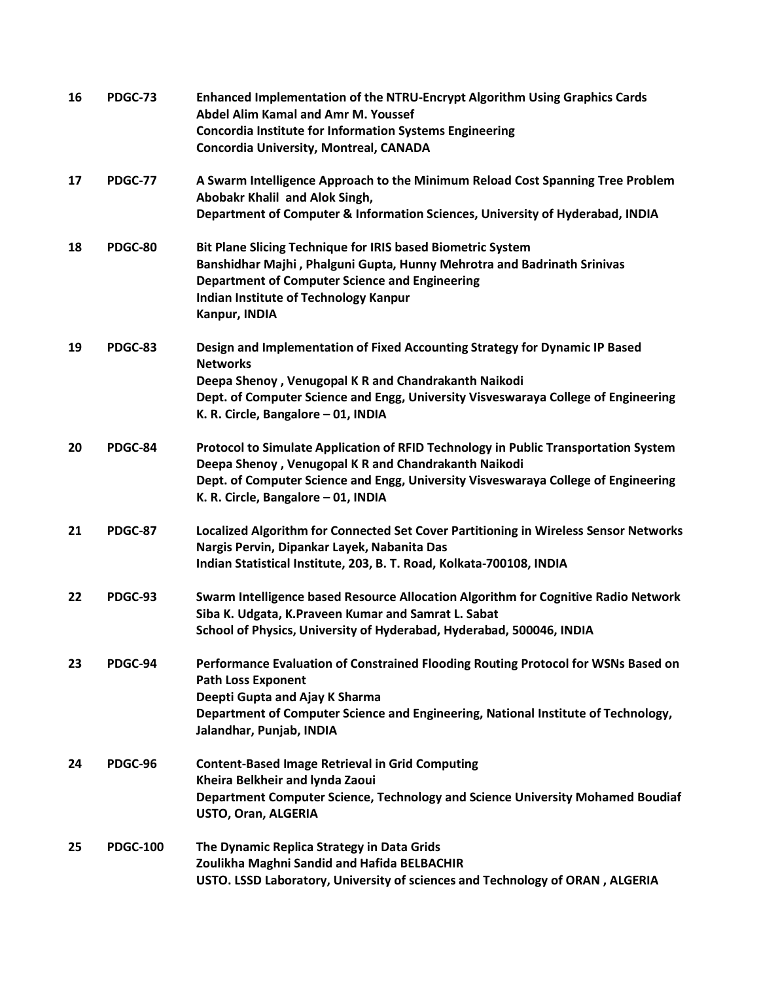| 16 | PDGC-73         | Enhanced Implementation of the NTRU-Encrypt Algorithm Using Graphics Cards<br><b>Abdel Alim Kamal and Amr M. Youssef</b><br><b>Concordia Institute for Information Systems Engineering</b><br>Concordia University, Montreal, CANADA                                                |
|----|-----------------|-------------------------------------------------------------------------------------------------------------------------------------------------------------------------------------------------------------------------------------------------------------------------------------|
| 17 | <b>PDGC-77</b>  | A Swarm Intelligence Approach to the Minimum Reload Cost Spanning Tree Problem<br>Abobakr Khalil and Alok Singh,<br>Department of Computer & Information Sciences, University of Hyderabad, INDIA                                                                                   |
| 18 | PDGC-80         | <b>Bit Plane Slicing Technique for IRIS based Biometric System</b><br>Banshidhar Majhi, Phalguni Gupta, Hunny Mehrotra and Badrinath Srinivas<br><b>Department of Computer Science and Engineering</b><br>Indian Institute of Technology Kanpur<br>Kanpur, INDIA                    |
| 19 | PDGC-83         | Design and Implementation of Fixed Accounting Strategy for Dynamic IP Based<br><b>Networks</b><br>Deepa Shenoy, Venugopal K R and Chandrakanth Naikodi<br>Dept. of Computer Science and Engg, University Visveswaraya College of Engineering<br>K. R. Circle, Bangalore - 01, INDIA |
| 20 | PDGC-84         | Protocol to Simulate Application of RFID Technology in Public Transportation System<br>Deepa Shenoy, Venugopal K R and Chandrakanth Naikodi<br>Dept. of Computer Science and Engg, University Visveswaraya College of Engineering<br>K. R. Circle, Bangalore - 01, INDIA            |
| 21 | PDGC-87         | Localized Algorithm for Connected Set Cover Partitioning in Wireless Sensor Networks<br>Nargis Pervin, Dipankar Layek, Nabanita Das<br>Indian Statistical Institute, 203, B. T. Road, Kolkata-700108, INDIA                                                                         |
| 22 | PDGC-93         | Swarm Intelligence based Resource Allocation Algorithm for Cognitive Radio Network<br>Siba K. Udgata, K. Praveen Kumar and Samrat L. Sabat<br>School of Physics, University of Hyderabad, Hyderabad, 500046, INDIA                                                                  |
| 23 | PDGC-94         | Performance Evaluation of Constrained Flooding Routing Protocol for WSNs Based on<br><b>Path Loss Exponent</b><br>Deepti Gupta and Ajay K Sharma<br>Department of Computer Science and Engineering, National Institute of Technology,<br>Jalandhar, Punjab, INDIA                   |
| 24 | PDGC-96         | <b>Content-Based Image Retrieval in Grid Computing</b><br>Kheira Belkheir and lynda Zaoui<br>Department Computer Science, Technology and Science University Mohamed Boudiaf<br>USTO, Oran, ALGERIA                                                                                  |
| 25 | <b>PDGC-100</b> | The Dynamic Replica Strategy in Data Grids<br>Zoulikha Maghni Sandid and Hafida BELBACHIR<br>USTO. LSSD Laboratory, University of sciences and Technology of ORAN, ALGERIA                                                                                                          |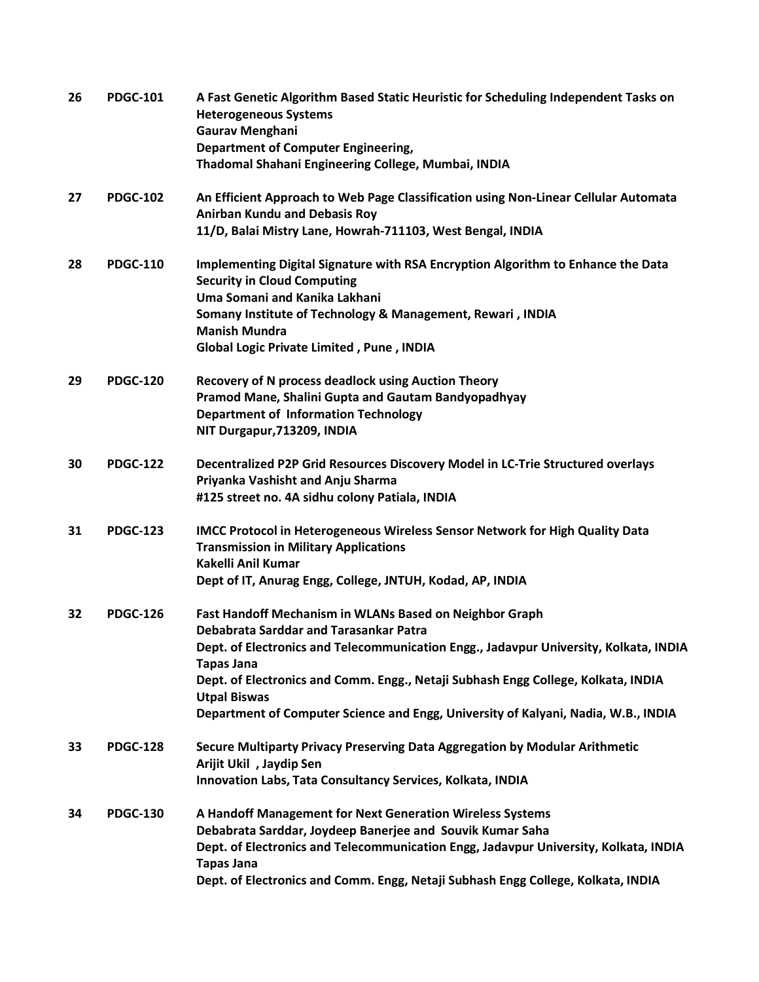| 26 | <b>PDGC-101</b> | A Fast Genetic Algorithm Based Static Heuristic for Scheduling Independent Tasks on<br><b>Heterogeneous Systems</b><br>Gaurav Menghani<br><b>Department of Computer Engineering,</b> |
|----|-----------------|--------------------------------------------------------------------------------------------------------------------------------------------------------------------------------------|
|    |                 | Thadomal Shahani Engineering College, Mumbai, INDIA                                                                                                                                  |
| 27 | <b>PDGC-102</b> | An Efficient Approach to Web Page Classification using Non-Linear Cellular Automata<br><b>Anirban Kundu and Debasis Roy</b>                                                          |
|    |                 | 11/D, Balai Mistry Lane, Howrah-711103, West Bengal, INDIA                                                                                                                           |
| 28 | <b>PDGC-110</b> | Implementing Digital Signature with RSA Encryption Algorithm to Enhance the Data<br><b>Security in Cloud Computing</b>                                                               |
|    |                 | Uma Somani and Kanika Lakhani                                                                                                                                                        |
|    |                 | Somany Institute of Technology & Management, Rewari, INDIA<br><b>Manish Mundra</b>                                                                                                   |
|    |                 | <b>Global Logic Private Limited, Pune, INDIA</b>                                                                                                                                     |
| 29 | <b>PDGC-120</b> | Recovery of N process deadlock using Auction Theory                                                                                                                                  |
|    |                 | Pramod Mane, Shalini Gupta and Gautam Bandyopadhyay                                                                                                                                  |
|    |                 | <b>Department of Information Technology</b><br>NIT Durgapur, 713209, INDIA                                                                                                           |
| 30 | <b>PDGC-122</b> | Decentralized P2P Grid Resources Discovery Model in LC-Trie Structured overlays                                                                                                      |
|    |                 | Priyanka Vashisht and Anju Sharma                                                                                                                                                    |
|    |                 | #125 street no. 4A sidhu colony Patiala, INDIA                                                                                                                                       |
| 31 | <b>PDGC-123</b> | <b>IMCC Protocol in Heterogeneous Wireless Sensor Network for High Quality Data</b>                                                                                                  |
|    |                 | <b>Transmission in Military Applications</b>                                                                                                                                         |
|    |                 | Kakelli Anil Kumar                                                                                                                                                                   |
|    |                 | Dept of IT, Anurag Engg, College, JNTUH, Kodad, AP, INDIA                                                                                                                            |
| 32 | <b>PDGC-126</b> | Fast Handoff Mechanism in WLANs Based on Neighbor Graph<br>Debabrata Sarddar and Tarasankar Patra                                                                                    |
|    |                 | Dept. of Electronics and Telecommunication Engg., Jadavpur University, Kolkata, INDIA                                                                                                |
|    |                 | <b>Tapas Jana</b>                                                                                                                                                                    |
|    |                 | Dept. of Electronics and Comm. Engg., Netaji Subhash Engg College, Kolkata, INDIA<br><b>Utpal Biswas</b>                                                                             |
|    |                 | Department of Computer Science and Engg, University of Kalyani, Nadia, W.B., INDIA                                                                                                   |
| 33 | <b>PDGC-128</b> | Secure Multiparty Privacy Preserving Data Aggregation by Modular Arithmetic<br>Arijit Ukil, Jaydip Sen                                                                               |
|    |                 | Innovation Labs, Tata Consultancy Services, Kolkata, INDIA                                                                                                                           |
| 34 | <b>PDGC-130</b> | A Handoff Management for Next Generation Wireless Systems                                                                                                                            |
|    |                 | Debabrata Sarddar, Joydeep Banerjee and Souvik Kumar Saha                                                                                                                            |
|    |                 | Dept. of Electronics and Telecommunication Engg, Jadavpur University, Kolkata, INDIA                                                                                                 |
|    |                 | <b>Tapas Jana</b><br>Dept. of Electronics and Comm. Engg, Netaji Subhash Engg College, Kolkata, INDIA                                                                                |
|    |                 |                                                                                                                                                                                      |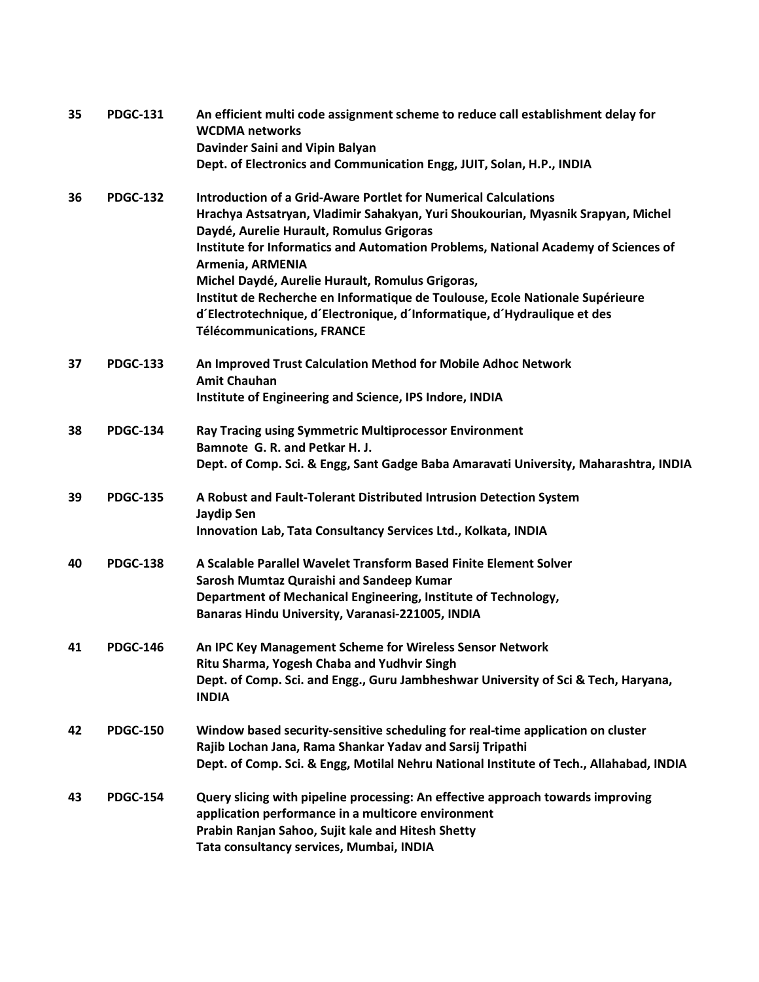| 35 | <b>PDGC-131</b> | An efficient multi code assignment scheme to reduce call establishment delay for<br><b>WCDMA</b> networks<br>Davinder Saini and Vipin Balyan                                                                  |
|----|-----------------|---------------------------------------------------------------------------------------------------------------------------------------------------------------------------------------------------------------|
|    |                 | Dept. of Electronics and Communication Engg, JUIT, Solan, H.P., INDIA                                                                                                                                         |
| 36 | <b>PDGC-132</b> | <b>Introduction of a Grid-Aware Portlet for Numerical Calculations</b><br>Hrachya Astsatryan, Vladimir Sahakyan, Yuri Shoukourian, Myasnik Srapyan, Michel<br>Daydé, Aurelie Hurault, Romulus Grigoras        |
|    |                 | Institute for Informatics and Automation Problems, National Academy of Sciences of<br>Armenia, ARMENIA                                                                                                        |
|    |                 | Michel Daydé, Aurelie Hurault, Romulus Grigoras,<br>Institut de Recherche en Informatique de Toulouse, Ecole Nationale Supérieure<br>d'Electrotechnique, d'Electronique, d'Informatique, d'Hydraulique et des |
|    |                 | <b>Télécommunications, FRANCE</b>                                                                                                                                                                             |
| 37 | <b>PDGC-133</b> | An Improved Trust Calculation Method for Mobile Adhoc Network<br><b>Amit Chauhan</b>                                                                                                                          |
|    |                 | Institute of Engineering and Science, IPS Indore, INDIA                                                                                                                                                       |
| 38 | <b>PDGC-134</b> | Ray Tracing using Symmetric Multiprocessor Environment<br>Bamnote G. R. and Petkar H. J.                                                                                                                      |
|    |                 | Dept. of Comp. Sci. & Engg, Sant Gadge Baba Amaravati University, Maharashtra, INDIA                                                                                                                          |
| 39 | <b>PDGC-135</b> | A Robust and Fault-Tolerant Distributed Intrusion Detection System<br><b>Jaydip Sen</b>                                                                                                                       |
|    |                 | Innovation Lab, Tata Consultancy Services Ltd., Kolkata, INDIA                                                                                                                                                |
| 40 | <b>PDGC-138</b> | A Scalable Parallel Wavelet Transform Based Finite Element Solver<br>Sarosh Mumtaz Quraishi and Sandeep Kumar                                                                                                 |
|    |                 | Department of Mechanical Engineering, Institute of Technology,<br>Banaras Hindu University, Varanasi-221005, INDIA                                                                                            |
| 41 | <b>PDGC-146</b> | An IPC Key Management Scheme for Wireless Sensor Network<br>Ritu Sharma, Yogesh Chaba and Yudhvir Singh                                                                                                       |
|    |                 | Dept. of Comp. Sci. and Engg., Guru Jambheshwar University of Sci & Tech, Haryana,<br><b>INDIA</b>                                                                                                            |
| 42 | <b>PDGC-150</b> | Window based security-sensitive scheduling for real-time application on cluster<br>Rajib Lochan Jana, Rama Shankar Yadav and Sarsij Tripathi                                                                  |
|    |                 | Dept. of Comp. Sci. & Engg, Motilal Nehru National Institute of Tech., Allahabad, INDIA                                                                                                                       |
| 43 | <b>PDGC-154</b> | Query slicing with pipeline processing: An effective approach towards improving<br>application performance in a multicore environment                                                                         |
|    |                 | Prabin Ranjan Sahoo, Sujit kale and Hitesh Shetty<br>Tata consultancy services, Mumbai, INDIA                                                                                                                 |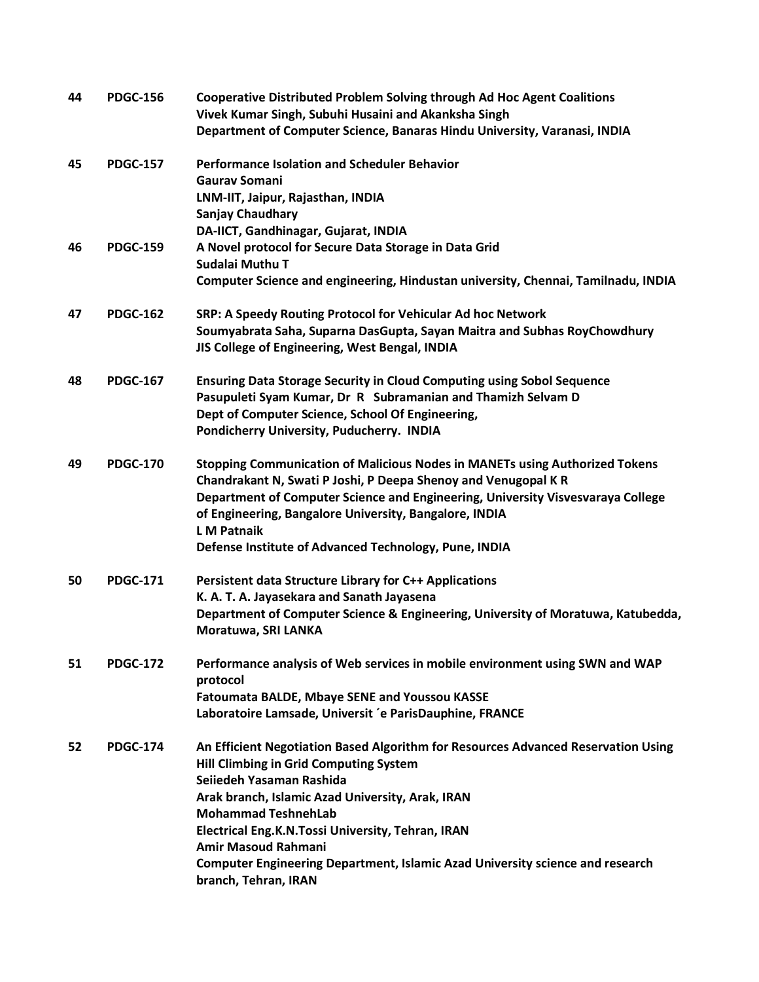| 44 | <b>PDGC-156</b> | <b>Cooperative Distributed Problem Solving through Ad Hoc Agent Coalitions</b><br>Vivek Kumar Singh, Subuhi Husaini and Akanksha Singh<br>Department of Computer Science, Banaras Hindu University, Varanasi, INDIA                                                                                                                                                                                                                          |
|----|-----------------|----------------------------------------------------------------------------------------------------------------------------------------------------------------------------------------------------------------------------------------------------------------------------------------------------------------------------------------------------------------------------------------------------------------------------------------------|
| 45 | <b>PDGC-157</b> | <b>Performance Isolation and Scheduler Behavior</b><br><b>Gauray Somani</b><br>LNM-IIT, Jaipur, Rajasthan, INDIA<br><b>Sanjay Chaudhary</b><br>DA-IICT, Gandhinagar, Gujarat, INDIA                                                                                                                                                                                                                                                          |
| 46 | <b>PDGC-159</b> | A Novel protocol for Secure Data Storage in Data Grid<br>Sudalai Muthu T<br>Computer Science and engineering, Hindustan university, Chennai, Tamilnadu, INDIA                                                                                                                                                                                                                                                                                |
| 47 | <b>PDGC-162</b> | SRP: A Speedy Routing Protocol for Vehicular Ad hoc Network<br>Soumyabrata Saha, Suparna DasGupta, Sayan Maitra and Subhas RoyChowdhury<br>JIS College of Engineering, West Bengal, INDIA                                                                                                                                                                                                                                                    |
| 48 | <b>PDGC-167</b> | <b>Ensuring Data Storage Security in Cloud Computing using Sobol Sequence</b><br>Pasupuleti Syam Kumar, Dr R Subramanian and Thamizh Selvam D<br>Dept of Computer Science, School Of Engineering,<br>Pondicherry University, Puducherry. INDIA                                                                                                                                                                                               |
| 49 | <b>PDGC-170</b> | <b>Stopping Communication of Malicious Nodes in MANETs using Authorized Tokens</b><br>Chandrakant N, Swati P Joshi, P Deepa Shenoy and Venugopal K R<br>Department of Computer Science and Engineering, University Visvesvaraya College<br>of Engineering, Bangalore University, Bangalore, INDIA<br><b>L</b> M Patnaik<br>Defense Institute of Advanced Technology, Pune, INDIA                                                             |
| 50 | <b>PDGC-171</b> | Persistent data Structure Library for C++ Applications<br>K. A. T. A. Jayasekara and Sanath Jayasena<br>Department of Computer Science & Engineering, University of Moratuwa, Katubedda,<br>Moratuwa, SRI LANKA                                                                                                                                                                                                                              |
| 51 | <b>PDGC-172</b> | Performance analysis of Web services in mobile environment using SWN and WAP<br>protocol<br><b>Fatoumata BALDE, Mbaye SENE and Youssou KASSE</b><br>Laboratoire Lamsade, Universit 'e ParisDauphine, FRANCE                                                                                                                                                                                                                                  |
| 52 | <b>PDGC-174</b> | An Efficient Negotiation Based Algorithm for Resources Advanced Reservation Using<br><b>Hill Climbing in Grid Computing System</b><br>Seijedeh Yasaman Rashida<br>Arak branch, Islamic Azad University, Arak, IRAN<br><b>Mohammad TeshnehLab</b><br>Electrical Eng.K.N.Tossi University, Tehran, IRAN<br><b>Amir Masoud Rahmani</b><br>Computer Engineering Department, Islamic Azad University science and research<br>branch, Tehran, IRAN |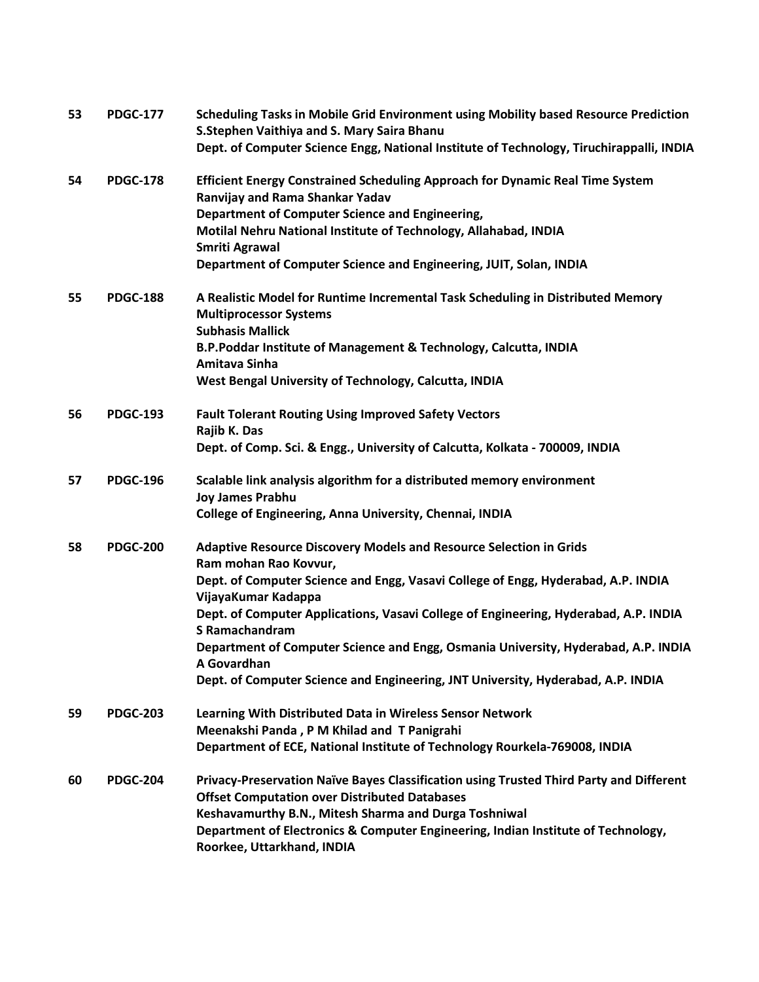| 53 | <b>PDGC-177</b> | Scheduling Tasks in Mobile Grid Environment using Mobility based Resource Prediction<br>S.Stephen Vaithiya and S. Mary Saira Bhanu          |
|----|-----------------|---------------------------------------------------------------------------------------------------------------------------------------------|
|    |                 | Dept. of Computer Science Engg, National Institute of Technology, Tiruchirappalli, INDIA                                                    |
| 54 | <b>PDGC-178</b> | Efficient Energy Constrained Scheduling Approach for Dynamic Real Time System<br>Ranvijay and Rama Shankar Yadav                            |
|    |                 | Department of Computer Science and Engineering,                                                                                             |
|    |                 | Motilal Nehru National Institute of Technology, Allahabad, INDIA<br><b>Smriti Agrawal</b>                                                   |
|    |                 | Department of Computer Science and Engineering, JUIT, Solan, INDIA                                                                          |
| 55 | <b>PDGC-188</b> | A Realistic Model for Runtime Incremental Task Scheduling in Distributed Memory<br><b>Multiprocessor Systems</b><br><b>Subhasis Mallick</b> |
|    |                 | B.P.Poddar Institute of Management & Technology, Calcutta, INDIA<br>Amitava Sinha                                                           |
|    |                 | West Bengal University of Technology, Calcutta, INDIA                                                                                       |
| 56 | <b>PDGC-193</b> | <b>Fault Tolerant Routing Using Improved Safety Vectors</b><br>Rajib K. Das                                                                 |
|    |                 | Dept. of Comp. Sci. & Engg., University of Calcutta, Kolkata - 700009, INDIA                                                                |
| 57 | <b>PDGC-196</b> | Scalable link analysis algorithm for a distributed memory environment<br><b>Joy James Prabhu</b>                                            |
|    |                 | College of Engineering, Anna University, Chennai, INDIA                                                                                     |
| 58 | <b>PDGC-200</b> | <b>Adaptive Resource Discovery Models and Resource Selection in Grids</b><br>Ram mohan Rao Kovvur,                                          |
|    |                 | Dept. of Computer Science and Engg, Vasavi College of Engg, Hyderabad, A.P. INDIA<br>VijayaKumar Kadappa                                    |
|    |                 | Dept. of Computer Applications, Vasavi College of Engineering, Hyderabad, A.P. INDIA<br>S Ramachandram                                      |
|    |                 | Department of Computer Science and Engg, Osmania University, Hyderabad, A.P. INDIA<br>A Govardhan                                           |
|    |                 | Dept. of Computer Science and Engineering, JNT University, Hyderabad, A.P. INDIA                                                            |
| 59 | <b>PDGC-203</b> | Learning With Distributed Data in Wireless Sensor Network                                                                                   |
|    |                 | Meenakshi Panda, P M Khilad and T Panigrahi                                                                                                 |
|    |                 | Department of ECE, National Institute of Technology Rourkela-769008, INDIA                                                                  |
| 60 | <b>PDGC-204</b> | Privacy-Preservation Naïve Bayes Classification using Trusted Third Party and Different                                                     |
|    |                 | <b>Offset Computation over Distributed Databases</b>                                                                                        |
|    |                 | Keshavamurthy B.N., Mitesh Sharma and Durga Toshniwal                                                                                       |
|    |                 | Department of Electronics & Computer Engineering, Indian Institute of Technology,<br>Roorkee, Uttarkhand, INDIA                             |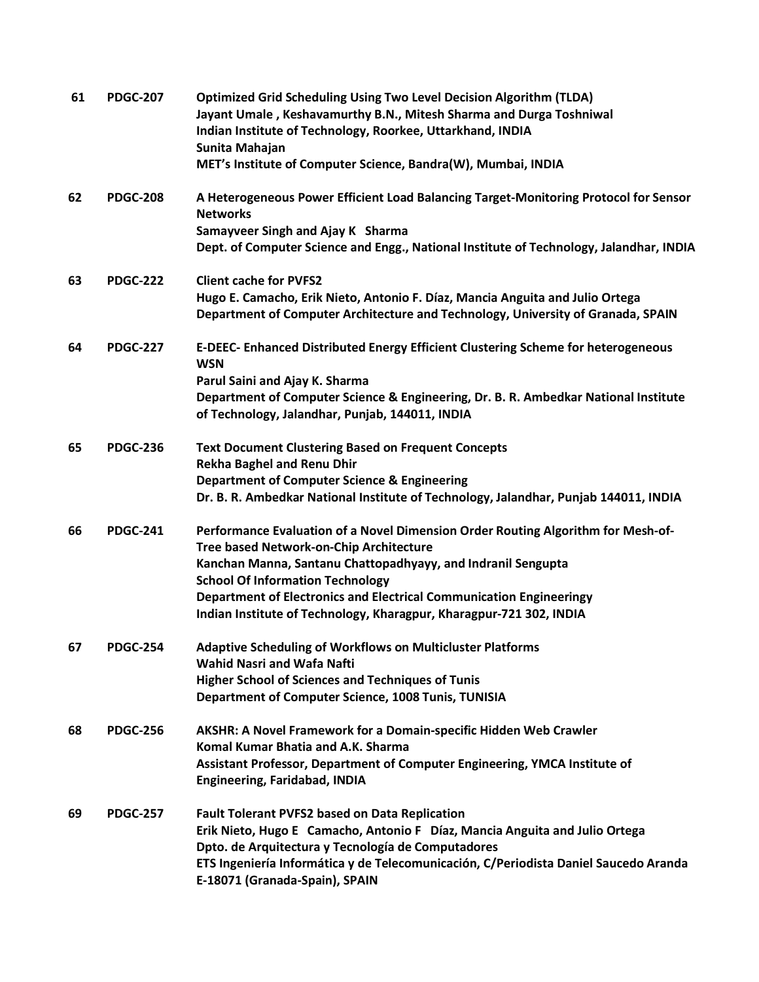| 61 | <b>PDGC-207</b> | <b>Optimized Grid Scheduling Using Two Level Decision Algorithm (TLDA)</b><br>Jayant Umale, Keshavamurthy B.N., Mitesh Sharma and Durga Toshniwal<br>Indian Institute of Technology, Roorkee, Uttarkhand, INDIA<br>Sunita Mahajan<br>MET's Institute of Computer Science, Bandra(W), Mumbai, INDIA                                                                                   |
|----|-----------------|--------------------------------------------------------------------------------------------------------------------------------------------------------------------------------------------------------------------------------------------------------------------------------------------------------------------------------------------------------------------------------------|
| 62 | <b>PDGC-208</b> | A Heterogeneous Power Efficient Load Balancing Target-Monitoring Protocol for Sensor<br><b>Networks</b><br>Samayveer Singh and Ajay K Sharma<br>Dept. of Computer Science and Engg., National Institute of Technology, Jalandhar, INDIA                                                                                                                                              |
| 63 | <b>PDGC-222</b> | <b>Client cache for PVFS2</b><br>Hugo E. Camacho, Erik Nieto, Antonio F. Díaz, Mancia Anguita and Julio Ortega<br>Department of Computer Architecture and Technology, University of Granada, SPAIN                                                                                                                                                                                   |
| 64 | <b>PDGC-227</b> | E-DEEC- Enhanced Distributed Energy Efficient Clustering Scheme for heterogeneous<br><b>WSN</b><br>Parul Saini and Ajay K. Sharma<br>Department of Computer Science & Engineering, Dr. B. R. Ambedkar National Institute<br>of Technology, Jalandhar, Punjab, 144011, INDIA                                                                                                          |
| 65 | <b>PDGC-236</b> | <b>Text Document Clustering Based on Frequent Concepts</b><br><b>Rekha Baghel and Renu Dhir</b><br><b>Department of Computer Science &amp; Engineering</b><br>Dr. B. R. Ambedkar National Institute of Technology, Jalandhar, Punjab 144011, INDIA                                                                                                                                   |
| 66 | <b>PDGC-241</b> | Performance Evaluation of a Novel Dimension Order Routing Algorithm for Mesh-of-<br>Tree based Network-on-Chip Architecture<br>Kanchan Manna, Santanu Chattopadhyayy, and Indranil Sengupta<br><b>School Of Information Technology</b><br>Department of Electronics and Electrical Communication Engineeringy<br>Indian Institute of Technology, Kharagpur, Kharagpur-721 302, INDIA |
| 67 | <b>PDGC-254</b> | <b>Adaptive Scheduling of Workflows on Multicluster Platforms</b><br><b>Wahid Nasri and Wafa Nafti</b><br><b>Higher School of Sciences and Techniques of Tunis</b><br>Department of Computer Science, 1008 Tunis, TUNISIA                                                                                                                                                            |
| 68 | <b>PDGC-256</b> | AKSHR: A Novel Framework for a Domain-specific Hidden Web Crawler<br>Komal Kumar Bhatia and A.K. Sharma<br>Assistant Professor, Department of Computer Engineering, YMCA Institute of<br><b>Engineering, Faridabad, INDIA</b>                                                                                                                                                        |
| 69 | <b>PDGC-257</b> | <b>Fault Tolerant PVFS2 based on Data Replication</b><br>Erik Nieto, Hugo E Camacho, Antonio F Díaz, Mancia Anguita and Julio Ortega<br>Dpto. de Arquitectura y Tecnología de Computadores<br>ETS Ingeniería Informática y de Telecomunicación, C/Periodista Daniel Saucedo Aranda<br>E-18071 (Granada-Spain), SPAIN                                                                 |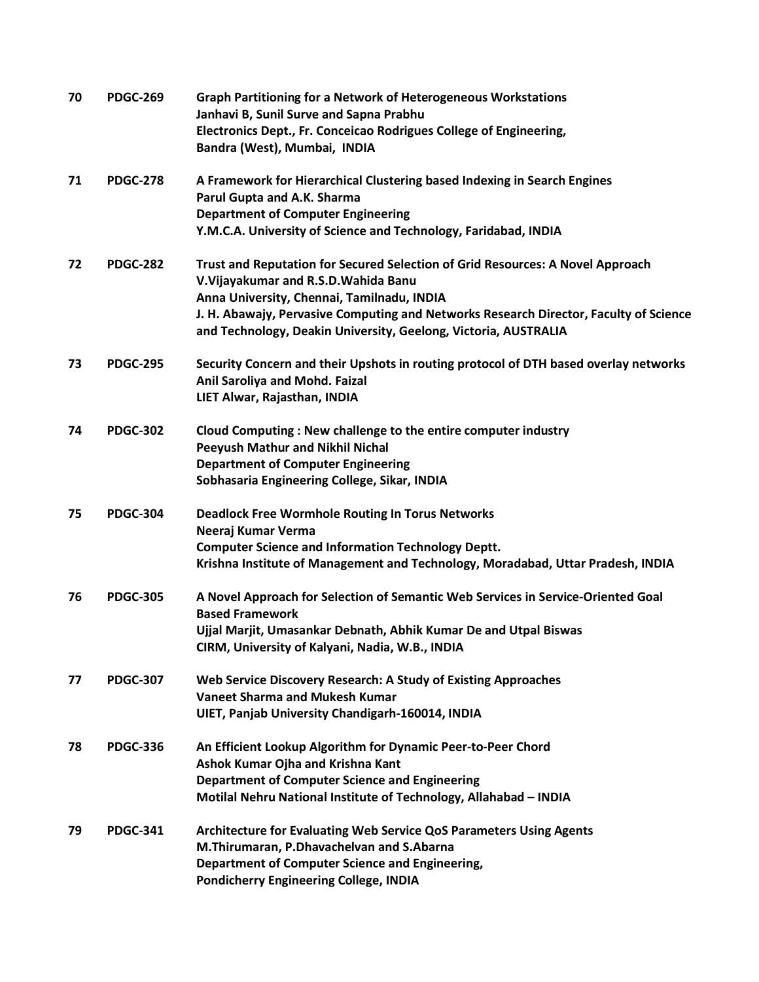| 70 | <b>PDGC-269</b> | <b>Graph Partitioning for a Network of Heterogeneous Workstations</b><br>Janhavi B, Sunil Surve and Sapna Prabhu<br>Electronics Dept., Fr. Conceicao Rodrigues College of Engineering,<br>Bandra (West), Mumbai, INDIA                                                                                                            |
|----|-----------------|-----------------------------------------------------------------------------------------------------------------------------------------------------------------------------------------------------------------------------------------------------------------------------------------------------------------------------------|
| 71 | <b>PDGC-278</b> | A Framework for Hierarchical Clustering based Indexing in Search Engines<br>Parul Gupta and A.K. Sharma<br><b>Department of Computer Engineering</b><br>Y.M.C.A. University of Science and Technology, Faridabad, INDIA                                                                                                           |
| 72 | <b>PDGC-282</b> | Trust and Reputation for Secured Selection of Grid Resources: A Novel Approach<br>V. Vijayakumar and R.S.D. Wahida Banu<br>Anna University, Chennai, Tamilnadu, INDIA<br>J. H. Abawajy, Pervasive Computing and Networks Research Director, Faculty of Science<br>and Technology, Deakin University, Geelong, Victoria, AUSTRALIA |
| 73 | <b>PDGC-295</b> | Security Concern and their Upshots in routing protocol of DTH based overlay networks<br>Anil Saroliya and Mohd. Faizal<br>LIET Alwar, Rajasthan, INDIA                                                                                                                                                                            |
| 74 | <b>PDGC-302</b> | Cloud Computing : New challenge to the entire computer industry<br><b>Peeyush Mathur and Nikhil Nichal</b><br><b>Department of Computer Engineering</b><br>Sobhasaria Engineering College, Sikar, INDIA                                                                                                                           |
| 75 | <b>PDGC-304</b> | <b>Deadlock Free Wormhole Routing In Torus Networks</b><br>Neeraj Kumar Verma<br><b>Computer Science and Information Technology Deptt.</b><br>Krishna Institute of Management and Technology, Moradabad, Uttar Pradesh, INDIA                                                                                                     |
| 76 | <b>PDGC-305</b> | A Novel Approach for Selection of Semantic Web Services in Service-Oriented Goal<br><b>Based Framework</b><br>Ujjal Marjit, Umasankar Debnath, Abhik Kumar De and Utpal Biswas<br>CIRM, University of Kalyani, Nadia, W.B., INDIA                                                                                                 |
| 77 | <b>PDGC-307</b> | Web Service Discovery Research: A Study of Existing Approaches<br><b>Vaneet Sharma and Mukesh Kumar</b><br>UIET, Panjab University Chandigarh-160014, INDIA                                                                                                                                                                       |
| 78 | <b>PDGC-336</b> | An Efficient Lookup Algorithm for Dynamic Peer-to-Peer Chord<br>Ashok Kumar Ojha and Krishna Kant<br><b>Department of Computer Science and Engineering</b><br>Motilal Nehru National Institute of Technology, Allahabad - INDIA                                                                                                   |
| 79 | <b>PDGC-341</b> | Architecture for Evaluating Web Service QoS Parameters Using Agents<br>M.Thirumaran, P.Dhavachelvan and S.Abarna<br>Department of Computer Science and Engineering,<br><b>Pondicherry Engineering College, INDIA</b>                                                                                                              |